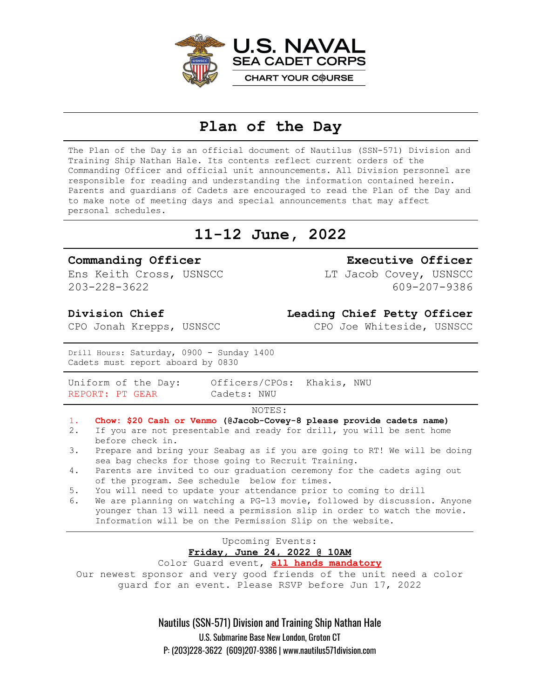

## **Plan of the Day**

The Plan of the Day is an official document of Nautilus (SSN-571) Division and Training Ship Nathan Hale. Its contents reflect current orders of the Commanding Officer and official unit announcements. All Division personnel are responsible for reading and understanding the information contained herein. Parents and guardians of Cadets are encouraged to read the Plan of the Day and to make note of meeting days and special announcements that may affect personal schedules.

# **11-12 June, 2022**

#### **Commanding Officer**

Ens Keith Cross, USNSCC 203-228-3622

### **Executive Officer** LT Jacob Covey, USNSCC

**Leading Chief Petty Officer**

CPO Joe Whiteside, USNSCC

609-207-9386

#### **Division Chief**

CPO Jonah Krepps, USNSCC

Drill Hours: Saturday, 0900 - Sunday 1400 Cadets must report aboard by 0830

REPORT: PT GEAR Cadets: NWU

Uniform of the Day: Officers/CPOs: Khakis, NWU

#### NOTES:

- 1. **Chow: \$20 Cash or Venmo (@Jacob-Covey-8 please provide cadets name)**
- 2. If you are not presentable and ready for drill, you will be sent home before check in.
- 3. Prepare and bring your Seabag as if you are going to RT! We will be doing sea bag checks for those going to Recruit Training.
- 4. Parents are invited to our graduation ceremony for the cadets aging out of the program. See schedule below for times.
- 5. You will need to update your attendance prior to coming to drill
- 6. We are planning on watching a PG-13 movie, followed by discussion. Anyone younger than 13 will need a permission slip in order to watch the movie. Information will be on the Permission Slip on the website.

### Upcoming Events: **Friday, June 24, 2022 @ 10AM**

Color Guard event, **all hands mandatory** Our newest sponsor and very good friends of the unit need a color guard for an event. Please RSVP before Jun 17, 2022

> Nautilus (SSN-571) Division and Training Ship Nathan Hale U.S. Submarine Base New London, Groton CT P: (203)228-3622 (609)207-9386 | www.nautilus571division.com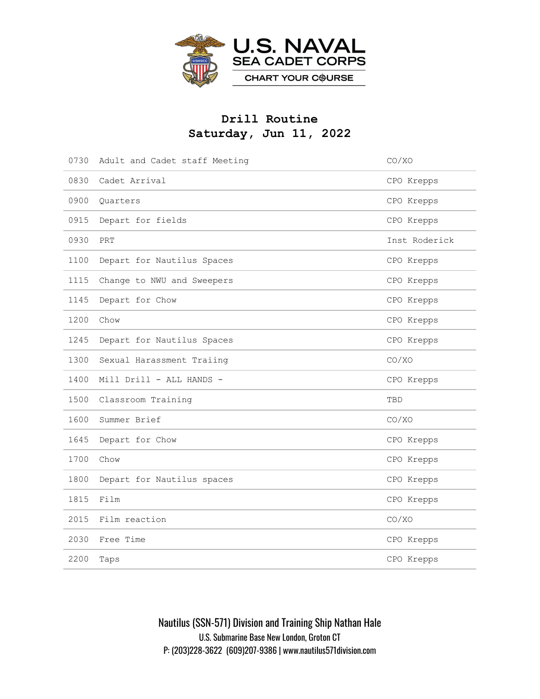

### **Drill Routine Saturday, Jun 11, 2022**

| 0730 | Adult and Cadet staff Meeting | CO/XO         |
|------|-------------------------------|---------------|
| 0830 | Cadet Arrival                 | CPO Krepps    |
| 0900 | Quarters                      | CPO Krepps    |
| 0915 | Depart for fields             | CPO Krepps    |
| 0930 | PRT                           | Inst Roderick |
| 1100 | Depart for Nautilus Spaces    | CPO Krepps    |
| 1115 | Change to NWU and Sweepers    | CPO Krepps    |
| 1145 | Depart for Chow               | CPO Krepps    |
| 1200 | Chow                          | CPO Krepps    |
| 1245 | Depart for Nautilus Spaces    | CPO Krepps    |
| 1300 | Sexual Harassment Traiing     | CO/XO         |
| 1400 | Mill Drill - ALL HANDS -      | CPO Krepps    |
| 1500 | Classroom Training            | TBD           |
| 1600 | Summer Brief                  | CO/XO         |
| 1645 | Depart for Chow               | CPO Krepps    |
| 1700 | Chow                          | CPO Krepps    |
| 1800 | Depart for Nautilus spaces    | CPO Krepps    |
| 1815 | Film                          | CPO Krepps    |
| 2015 | Film reaction                 | CO/XO         |
| 2030 | Free Time                     | CPO Krepps    |
| 2200 | Taps                          | CPO Krepps    |

Nautilus (SSN-571) Division and Training Ship Nathan Hale U.S. Submarine Base New London, Groton CT P: (203)228-3622 (609)207-9386 | www.nautilus571division.com